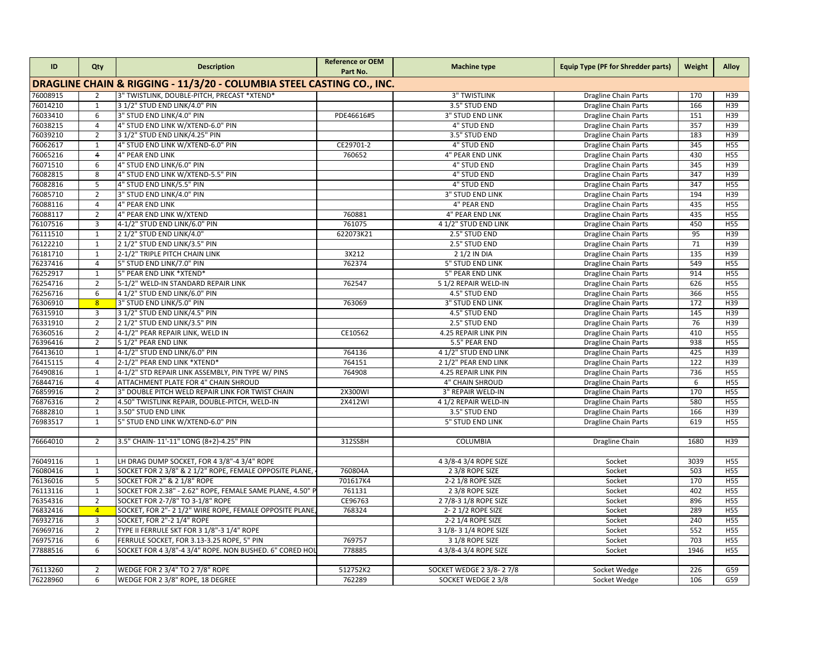| ID                                                                    | Qty            | <b>Description</b>                                        | <b>Reference or OEM</b><br>Part No. | <b>Machine type</b>     | <b>Equip Type (PF for Shredder parts)</b> | Weight | Alloy           |  |  |
|-----------------------------------------------------------------------|----------------|-----------------------------------------------------------|-------------------------------------|-------------------------|-------------------------------------------|--------|-----------------|--|--|
| DRAGLINE CHAIN & RIGGING - 11/3/20 - COLUMBIA STEEL CASTING CO., INC. |                |                                                           |                                     |                         |                                           |        |                 |  |  |
| 76008915                                                              | $\overline{2}$ | 3" TWISTLINK, DOUBLE-PITCH, PRECAST *XTEND*               |                                     | <b>3" TWISTLINK</b>     | <b>Dragline Chain Parts</b>               | 170    | H39             |  |  |
| 76014210                                                              | $\mathbf{1}$   | 3 1/2" STUD END LINK/4.0" PIN                             |                                     | 3.5" STUD END           | Dragline Chain Parts                      | 166    | H39             |  |  |
| 76033410                                                              | 6              | 3" STUD END LINK/4.0" PIN                                 | PDE46616#5                          | <b>3" STUD END LINK</b> | <b>Dragline Chain Parts</b>               | 151    | H39             |  |  |
| 76038215                                                              | $\overline{4}$ | 4" STUD END LINK W/XTEND-6.0" PIN                         |                                     | <b>4" STUD END</b>      | <b>Dragline Chain Parts</b>               | 357    | H39             |  |  |
| 76039210                                                              | $\overline{2}$ | 3 1/2" STUD END LINK/4.25" PIN                            |                                     | 3.5" STUD END           | <b>Dragline Chain Parts</b>               | 183    | H39             |  |  |
| 76062617                                                              | $\mathbf{1}$   | 4" STUD END LINK W/XTEND-6.0" PIN                         | CE29701-2                           | 4" STUD END             | <b>Dragline Chain Parts</b>               | 345    | <b>H55</b>      |  |  |
| 76065216                                                              | $\overline{4}$ | 4" PEAR END LINK                                          | 760652                              | 4" PEAR END LINK        | <b>Dragline Chain Parts</b>               | 430    | <b>H55</b>      |  |  |
| 76071510                                                              | 6              | 4" STUD END LINK/6.0" PIN                                 |                                     | <b>4" STUD END</b>      | <b>Dragline Chain Parts</b>               | 345    | H39             |  |  |
| 76082815                                                              | 8              | 4" STUD END LINK W/XTEND-5.5" PIN                         |                                     | 4" STUD END             | <b>Dragline Chain Parts</b>               | 347    | H39             |  |  |
| 76082816                                                              | 5              | 4" STUD END LINK/5.5" PIN                                 |                                     | <b>4" STUD END</b>      | <b>Dragline Chain Parts</b>               | 347    | <b>H55</b>      |  |  |
| 76085710                                                              | $\overline{2}$ | 3" STUD END LINK/4.0" PIN                                 |                                     | <b>3" STUD END LINK</b> | <b>Dragline Chain Parts</b>               | 194    | H39             |  |  |
| 76088116                                                              | $\overline{4}$ | 4" PEAR END LINK                                          |                                     | 4" PEAR END             | <b>Dragline Chain Parts</b>               | 435    | H55             |  |  |
| 76088117                                                              | $\overline{2}$ | 4" PEAR END LINK W/XTEND                                  | 760881                              | 4" PEAR END LNK         | <b>Dragline Chain Parts</b>               | 435    | <b>H55</b>      |  |  |
| 76107516                                                              | $\overline{3}$ | 4-1/2" STUD END LINK/6.0" PIN                             | 761075                              | 4 1/2" STUD END LINK    | <b>Dragline Chain Parts</b>               | 450    | <b>H55</b>      |  |  |
| 76111510                                                              | $\mathbf{1}$   | 2 1/2" STUD END LINK/4.0"                                 | 622073K21                           | 2.5" STUD END           | <b>Dragline Chain Parts</b>               | 95     | H39             |  |  |
| 76122210                                                              | $\mathbf{1}$   | 2 1/2" STUD END LINK/3.5" PIN                             |                                     | 2.5" STUD END           | <b>Dragline Chain Parts</b>               | 71     | H39             |  |  |
| 76181710                                                              | $\mathbf{1}$   | 2-1/2" TRIPLE PITCH CHAIN LINK                            | 3X212                               | 2 1/2 IN DIA            | <b>Dragline Chain Parts</b>               | 135    | H39             |  |  |
| 76237416                                                              | $\overline{4}$ | 5" STUD END LINK/7.0" PIN                                 | 762374                              | <b>5" STUD END LINK</b> | <b>Dragline Chain Parts</b>               | 549    | <b>H55</b>      |  |  |
| 76252917                                                              | $\mathbf{1}$   | 5" PEAR END LINK *XTEND*                                  |                                     | 5" PEAR END LINK        | <b>Dragline Chain Parts</b>               | 914    | <b>H55</b>      |  |  |
| 76254716                                                              | $\overline{2}$ | 5-1/2" WELD-IN STANDARD REPAIR LINK                       | 762547                              | 5 1/2 REPAIR WELD-IN    | <b>Dragline Chain Parts</b>               | 626    | <b>H55</b>      |  |  |
| 76256716                                                              | 6              | 4 1/2" STUD END LINK/6.0" PIN                             |                                     | 4.5" STUD END           | <b>Dragline Chain Parts</b>               | 366    | <b>H55</b>      |  |  |
| 76306910                                                              | 8 <sup>1</sup> | 3" STUD END LINK/5.0" PIN                                 | 763069                              | <b>3" STUD END LINK</b> | <b>Dragline Chain Parts</b>               | 172    | H39             |  |  |
| 76315910                                                              | 3              | 3 1/2" STUD END LINK/4.5" PIN                             |                                     | 4.5" STUD END           | <b>Dragline Chain Parts</b>               | 145    | H39             |  |  |
| 76331910                                                              | $\overline{2}$ | 2 1/2" STUD END LINK/3.5" PIN                             |                                     | 2.5" STUD END           | <b>Dragline Chain Parts</b>               | 76     | H <sub>39</sub> |  |  |
| 76360516                                                              | $\overline{2}$ | 4-1/2" PEAR REPAIR LINK, WELD IN                          | CE10562                             | 4.25 REPAIR LINK PIN    | <b>Dragline Chain Parts</b>               | 410    | <b>H55</b>      |  |  |
| 76396416                                                              | $\overline{2}$ | 51/2" PEAR END LINK                                       |                                     | 5.5" PEAR END           | <b>Dragline Chain Parts</b>               | 938    | <b>H55</b>      |  |  |
| 76413610                                                              | $\mathbf{1}$   | 4-1/2" STUD END LINK/6.0" PIN                             | 764136                              | 4 1/2" STUD END LINK    | <b>Dragline Chain Parts</b>               | 425    | H <sub>39</sub> |  |  |
| 76415115                                                              | $\overline{4}$ | 2-1/2" PEAR END LINK *XTEND*                              | 764151                              | 2 1/2" PEAR END LINK    | <b>Dragline Chain Parts</b>               | 122    | H <sub>39</sub> |  |  |
| 76490816                                                              | 1              | 4-1/2" STD REPAIR LINK ASSEMBLY, PIN TYPE W/ PINS         | 764908                              | 4.25 REPAIR LINK PIN    | Dragline Chain Parts                      | 736    | H <sub>55</sub> |  |  |
| 76844716                                                              | $\overline{4}$ | ATTACHMENT PLATE FOR 4" CHAIN SHROUD                      |                                     | <b>4" CHAIN SHROUD</b>  | <b>Dragline Chain Parts</b>               | 6      | H55             |  |  |
| 76859916                                                              | $\overline{2}$ | 3" DOUBLE PITCH WELD REPAIR LINK FOR TWIST CHAIN          | 2X300WI                             | 3" REPAIR WELD-IN       | <b>Dragline Chain Parts</b>               | 170    | H <sub>55</sub> |  |  |
| 76876316                                                              | $\overline{2}$ | 4.50" TWISTLINK REPAIR, DOUBLE-PITCH, WELD-IN             | 2X412WI                             | 4 1/2 REPAIR WELD-IN    | <b>Dragline Chain Parts</b>               | 580    | H <sub>55</sub> |  |  |
| 76882810                                                              | $\mathbf{1}$   | 3.50" STUD END LINK                                       |                                     | 3.5" STUD END           | <b>Dragline Chain Parts</b>               | 166    | H <sub>39</sub> |  |  |
| 76983517                                                              | $\mathbf{1}$   | 5" STUD END LINK W/XTEND-6.0" PIN                         |                                     | <b>5" STUD END LINK</b> | <b>Dragline Chain Parts</b>               | 619    | H <sub>55</sub> |  |  |
|                                                                       |                |                                                           |                                     |                         |                                           |        |                 |  |  |
| 76664010                                                              | $\overline{2}$ | 3.5" CHAIN-11'-11" LONG (8+2)-4.25" PIN                   | 312SS8H                             | <b>COLUMBIA</b>         | <b>Dragline Chain</b>                     | 1680   | H <sub>39</sub> |  |  |
|                                                                       |                |                                                           |                                     |                         |                                           |        |                 |  |  |
| 76049116                                                              | $\mathbf{1}$   | LH DRAG DUMP SOCKET, FOR 4 3/8"-4 3/4" ROPE               |                                     | 4 3/8-4 3/4 ROPE SIZE   | Socket                                    | 3039   | <b>H55</b>      |  |  |
| 76080416                                                              | $\mathbf{1}$   | SOCKET FOR 2 3/8" & 2 1/2" ROPE, FEMALE OPPOSITE PLANE,   | 760804A                             | 2 3/8 ROPE SIZE         | Socket                                    | 503    | H55             |  |  |
| 76136016                                                              | 5              | SOCKET FOR 2" & 2 1/8" ROPE                               | 701617K4                            | 2-2 1/8 ROPE SIZE       | Socket                                    | 170    | H55             |  |  |
| 76113116                                                              | $\mathbf{1}$   | SOCKET FOR 2.38" - 2.62" ROPE, FEMALE SAME PLANE, 4.50" P | 761131                              | 2 3/8 ROPE SIZE         | Socket                                    | 402    | <b>H55</b>      |  |  |
| 76354316                                                              | $\overline{2}$ | SOCKET FOR 2-7/8" TO 3-1/8" ROPE                          | CE96763                             | 2 7/8-3 1/8 ROPE SIZE   | Socket                                    | 896    | H <sub>55</sub> |  |  |
| 76832416                                                              | $\overline{4}$ | SOCKET, FOR 2"- 2 1/2" WIRE ROPE, FEMALE OPPOSITE PLANE   | 768324                              | 2-21/2 ROPE SIZE        | Socket                                    | 289    | H55             |  |  |
| 76932716                                                              | $\overline{3}$ | SOCKET, FOR 2"-2 1/4" ROPE                                |                                     | 2-2 1/4 ROPE SIZE       | Socket                                    | 240    | H55             |  |  |
| 76969716                                                              | $\overline{2}$ | TYPE II FERRULE SKT FOR 3 1/8"-3 1/4" ROPE                |                                     | 3 1/8-3 1/4 ROPE SIZE   | Socket                                    | 552    | <b>H55</b>      |  |  |
| 76975716                                                              | 6              | FERRULE SOCKET, FOR 3.13-3.25 ROPE, 5" PIN                | 769757                              | 3 1/8 ROPE SIZE         | Socket                                    | 703    | H55             |  |  |
| 77888516                                                              | 6              | SOCKET FOR 4 3/8"-4 3/4" ROPE. NON BUSHED. 6" CORED HOL   | 778885                              | 4 3/8-4 3/4 ROPE SIZE   | Socket                                    | 1946   | <b>H55</b>      |  |  |
|                                                                       |                |                                                           |                                     |                         |                                           |        |                 |  |  |
| 76113260                                                              | $\overline{2}$ | WEDGE FOR 2 3/4" TO 2 7/8" ROPE                           | 512752K2                            | SOCKET WEDGE 2 3/8-27/8 | Socket Wedge                              | 226    | G59             |  |  |
| 76228960                                                              | 6              | WEDGE FOR 2 3/8" ROPE, 18 DEGREE                          | 762289                              | SOCKET WEDGE 2 3/8      | Socket Wedge                              | 106    | G59             |  |  |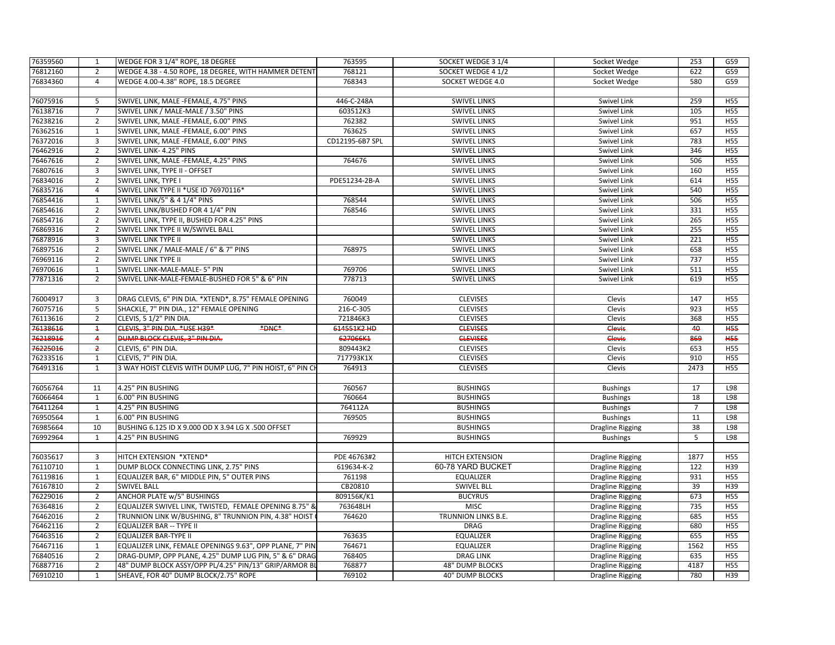| 768121<br>76812160<br>$\overline{2}$<br>WEDGE 4.38 - 4.50 ROPE, 18 DEGREE, WITH HAMMER DETENT<br>SOCKET WEDGE 4 1/2<br>Socket Wedge<br>622<br>G59<br>768343<br>580<br>76834360<br>WEDGE 4.00-4.38" ROPE, 18.5 DEGREE<br>SOCKET WEDGE 4.0<br>G59<br>$\overline{4}$<br>Socket Wedge<br>76075916<br>5<br>SWIVEL LINK, MALE -FEMALE, 4.75" PINS<br>446-C-248A<br><b>SWIVEL LINKS</b><br>Swivel Link<br>259<br><b>H55</b><br>76138716<br>$\overline{7}$<br>105<br>SWIVEL LINK / MALE-MALE / 3.50" PINS<br>603512K3<br><b>SWIVEL LINKS</b><br><b>H55</b><br>Swivel Link<br>76238216<br>$\overline{2}$<br>SWIVEL LINK, MALE -FEMALE, 6.00" PINS<br>762382<br>951<br><b>SWIVEL LINKS</b><br>Swivel Link<br>H55<br>76362516<br>SWIVEL LINK, MALE -FEMALE, 6.00" PINS<br>763625<br><b>SWIVEL LINKS</b><br>Swivel Link<br>657<br>H55<br>$\mathbf{1}$<br>76372016<br>$\overline{3}$<br>CD12195-6B7 SPL<br><b>SWIVEL LINKS</b><br>783<br><b>H55</b><br>SWIVEL LINK, MALE -FEMALE, 6.00" PINS<br>Swivel Link<br>$\overline{2}$<br>76462916<br>SWIVEL LINK- 4.25" PINS<br><b>SWIVEL LINKS</b><br>346<br><b>H55</b><br>Swivel Link<br>76467616<br>506<br>$\overline{2}$<br>SWIVEL LINK, MALE -FEMALE, 4.25" PINS<br>764676<br><b>SWIVEL LINKS</b><br><b>H55</b><br>Swivel Link<br>76807616<br>3<br>160<br><b>H55</b><br>SWIVEL LINK, TYPE II - OFFSET<br><b>SWIVEL LINKS</b><br>Swivel Link<br>76834016<br>$\overline{2}$<br>SWIVEL LINK, TYPE I<br>PDE51234-2B-A<br><b>SWIVEL LINKS</b><br>Swivel Link<br>614<br><b>H55</b><br>76835716<br>SWIVEL LINK TYPE II *USE ID 76970116*<br>540<br>4<br><b>SWIVEL LINKS</b><br>Swivel Link<br>H55<br>76854416<br>SWIVEL LINK/5" & 4 1/4" PINS<br>506<br>$\mathbf{1}$<br>768544<br><b>SWIVEL LINKS</b><br><b>Swivel Link</b><br><b>H55</b><br>76854616<br>$\overline{2}$<br>SWIVEL LINK/BUSHED FOR 4 1/4" PIN<br>768546<br>331<br>H <sub>55</sub><br><b>SWIVEL LINKS</b><br>Swivel Link<br>76854716<br>$\overline{2}$<br><b>SWIVEL LINKS</b><br>265<br><b>H55</b><br>SWIVEL LINK, TYPE II, BUSHED FOR 4.25" PINS<br>Swivel Link<br>76869316<br>$\overline{2}$<br>255<br>H <sub>55</sub><br>SWIVEL LINK TYPE II W/SWIVEL BALL<br><b>SWIVEL LINKS</b><br>Swivel Link<br>76878916<br>221<br><b>H55</b><br>3<br>SWIVEL LINK TYPE II<br><b>SWIVEL LINKS</b><br>Swivel Link<br>76897516<br>$\overline{2}$<br>658<br>SWIVEL LINK / MALE-MALE / 6" & 7" PINS<br>768975<br><b>SWIVEL LINKS</b><br><b>H55</b><br>Swivel Link<br>$\overline{2}$<br>737<br>76969116<br><b>SWIVEL LINK TYPE II</b><br><b>SWIVEL LINKS</b><br><b>H55</b><br>Swivel Link<br>76970616<br>769706<br>$\mathbf{1}$<br>SWIVEL LINK-MALE-MALE- 5" PIN<br><b>SWIVEL LINKS</b><br>Swivel Link<br>511<br><b>H55</b><br>77871316<br>$\overline{2}$<br>SWIVEL LINK-MALE-FEMALE-BUSHED FOR 5" & 6" PIN<br>778713<br>619<br><b>H55</b><br><b>SWIVEL LINKS</b><br>Swivel Link<br>76004917<br>DRAG CLEVIS, 6" PIN DIA. * XTEND*, 8.75" FEMALE OPENING<br>760049<br><b>CLEVISES</b><br>147<br>3<br>Clevis<br><b>H55</b><br>76075716<br>5<br>923<br>SHACKLE, 7" PIN DIA., 12" FEMALE OPENING<br>216-C-305<br><b>CLEVISES</b><br>Clevis<br><b>H55</b><br>76113616<br>$\overline{2}$<br>CLEVIS, 5 1/2" PIN DIA.<br>721846K3<br>368<br><b>CLEVISES</b><br>Clevis<br><b>H55</b><br>76138616<br>$\ddagger$<br>CLEVIS, 3" PIN DIA. *USE H39*<br>*DNC*<br>614551K2 HD<br><b>CLEVISES</b><br>Clevis<br>40<br><b>H55</b><br>$\overline{4}$<br>869<br><b>H55</b><br>76218916<br>DUMP BLOCK CLEVIS, 3" PIN DIA.<br>627066K1<br><b>CLEVISES</b><br>Clevis<br>76225016<br>$\overline{2}$<br><b>CLEVISES</b><br>653<br>CLEVIS, 6" PIN DIA.<br>809443K2<br>Clevis<br><b>H55</b><br>76233516<br>CLEVIS, 7" PIN DIA.<br>717793K1X<br><b>CLEVISES</b><br>910<br><b>H55</b><br>1<br>Clevis<br>76491316<br>$\mathbf{1}$<br>3 WAY HOIST CLEVIS WITH DUMP LUG, 7" PIN HOIST, 6" PIN CI<br>764913<br><b>CLEVISES</b><br>Clevis<br>2473<br><b>H55</b><br>76056764<br>11<br>4.25" PIN BUSHING<br>760567<br><b>BUSHINGS</b><br><b>Bushings</b><br>17<br>L98<br>76066464<br>$\mathbf{1}$<br>760664<br><b>BUSHINGS</b><br>18<br>L98<br>6.00" PIN BUSHING<br><b>Bushings</b><br>76411264<br>4.25" PIN BUSHING<br>764112A<br><b>BUSHINGS</b><br>$\overline{7}$<br>L98<br>$\mathbf{1}$<br><b>Bushings</b><br>76950564<br>769505<br>11<br>L98<br>$\mathbf{1}$<br>6.00" PIN BUSHING<br><b>BUSHINGS</b><br><b>Bushings</b><br>76985664<br>10<br>BUSHING 6.125 ID X 9.000 OD X 3.94 LG X .500 OFFSET<br><b>BUSHINGS</b><br>38<br>L98<br>Dragline Rigging<br>76992964<br>4.25" PIN BUSHING<br>769929<br><b>BUSHINGS</b><br>5<br>L98<br>$\mathbf{1}$<br><b>Bushings</b><br>76035617<br>3<br>HITCH EXTENSION *XTEND*<br>PDE 46763#2<br>HITCH EXTENSION<br>1877<br><b>Dragline Rigging</b><br>H <sub>55</sub><br>76110710<br>DUMP BLOCK CONNECTING LINK, 2.75" PINS<br>619634-K-2<br>60-78 YARD BUCKET<br>122<br>H39<br>1<br>Dragline Rigging<br>76119816<br>761198<br>931<br>$\mathbf{1}$<br>EQUALIZER BAR, 6" MIDDLE PIN, 5" OUTER PINS<br><b>EQUALIZER</b><br><b>H55</b><br><b>Dragline Rigging</b><br>76167810<br>$\overline{2}$<br>CB20810<br>39<br>H39<br><b>SWIVEL BALL</b><br><b>SWIVEL BLL</b><br><b>Dragline Rigging</b><br>76229016<br>$\overline{2}$<br><b>ANCHOR PLATE w/5" BUSHINGS</b><br>809156K/K1<br><b>BUCYRUS</b><br>673<br><b>H55</b><br><b>Dragline Rigging</b><br>EQUALIZER SWIVEL LINK, TWISTED, FEMALE OPENING 8.75" &<br><b>MISC</b><br>735<br>H55<br>76364816<br>$\overline{2}$<br>763648LH<br><b>Dragline Rigging</b><br>76462016<br>$\overline{2}$<br>TRUNNION LINK W/BUSHING, 8" TRUNNION PIN, 4.38" HOIST<br>764620<br>TRUNNION LINKS B.E.<br>685<br><b>H55</b><br><b>Dragline Rigging</b><br>76462116<br>$\overline{2}$<br><b>EQUALIZER BAR -- TYPE II</b><br><b>DRAG</b><br>680<br>H55<br><b>Dragline Rigging</b><br>$\overline{2}$<br>76463516<br><b>EQUALIZER BAR-TYPE II</b><br>763635<br><b>EQUALIZER</b><br>655<br><b>H55</b><br><b>Dragline Rigging</b><br>76467116<br>$\mathbf{1}$<br>EQUALIZER LINK, FEMALE OPENINGS 9.63", OPP PLANE, 7" PIN<br>764671<br><b>EQUALIZER</b><br>1562<br><b>H55</b><br><b>Dragline Rigging</b><br>768405<br>H55<br>76840516<br>$\overline{2}$<br>DRAG-DUMP, OPP PLANE, 4.25" DUMP LUG PIN, 5" & 6" DRAG<br><b>DRAG LINK</b><br>635<br><b>Dragline Rigging</b><br>4187<br>76887716<br>$\overline{2}$<br>48" DUMP BLOCK ASSY/OPP PL/4.25" PIN/13" GRIP/ARMOR BI<br>768877<br><b>48" DUMP BLOCKS</b><br><b>H55</b><br><b>Dragline Rigging</b><br>76910210<br>SHEAVE, FOR 40" DUMP BLOCK/2.75" ROPE<br>769102<br><b>40" DUMP BLOCKS</b><br>780<br>H39<br>$\mathbf{1}$ | 76359560 | 1 | WEDGE FOR 3 1/4" ROPE, 18 DEGREE | 763595 | SOCKET WEDGE 3 1/4 | Socket Wedge            | 253 | G59 |
|---------------------------------------------------------------------------------------------------------------------------------------------------------------------------------------------------------------------------------------------------------------------------------------------------------------------------------------------------------------------------------------------------------------------------------------------------------------------------------------------------------------------------------------------------------------------------------------------------------------------------------------------------------------------------------------------------------------------------------------------------------------------------------------------------------------------------------------------------------------------------------------------------------------------------------------------------------------------------------------------------------------------------------------------------------------------------------------------------------------------------------------------------------------------------------------------------------------------------------------------------------------------------------------------------------------------------------------------------------------------------------------------------------------------------------------------------------------------------------------------------------------------------------------------------------------------------------------------------------------------------------------------------------------------------------------------------------------------------------------------------------------------------------------------------------------------------------------------------------------------------------------------------------------------------------------------------------------------------------------------------------------------------------------------------------------------------------------------------------------------------------------------------------------------------------------------------------------------------------------------------------------------------------------------------------------------------------------------------------------------------------------------------------------------------------------------------------------------------------------------------------------------------------------------------------------------------------------------------------------------------------------------------------------------------------------------------------------------------------------------------------------------------------------------------------------------------------------------------------------------------------------------------------------------------------------------------------------------------------------------------------------------------------------------------------------------------------------------------------------------------------------------------------------------------------------------------------------------------------------------------------------------------------------------------------------------------------------------------------------------------------------------------------------------------------------------------------------------------------------------------------------------------------------------------------------------------------------------------------------------------------------------------------------------------------------------------------------------------------------------------------------------------------------------------------------------------------------------------------------------------------------------------------------------------------------------------------------------------------------------------------------------------------------------------------------------------------------------------------------------------------------------------------------------------------------------------------------------------------------------------------------------------------------------------------------------------------------------------------------------------------------------------------------------------------------------------------------------------------------------------------------------------------------------------------------------------------------------------------------------------------------------------------------------------------------------------------------------------------------------------------------------------------------------------------------------------------------------------------------------------------------------------------------------------------------------------------------------------------------------------------------------------------------------------------------------------------------------------------------------------------------------------------------------------------------------------------------------------------------------------------------------------------------------------------------------------------------------------------------------------------------------------------------------------------------------------------------------------------------------------------------------------------------------------------------------------------------------------------------------------------------------------------------------------------------------------------------------------------------------------------------------------------------------------------------------------------------------------------------------------------------------------------------------------------------------------------------------------------------------------------------------------------------------------------------------------------------------------------------------------------------------------------------------------------------------------------------------------------------------------------------------------------------------------------------------------------------------------------------------------------------------------------------------------------------------------------------------------------------------------------------------------------------------------------------------------|----------|---|----------------------------------|--------|--------------------|-------------------------|-----|-----|
|                                                                                                                                                                                                                                                                                                                                                                                                                                                                                                                                                                                                                                                                                                                                                                                                                                                                                                                                                                                                                                                                                                                                                                                                                                                                                                                                                                                                                                                                                                                                                                                                                                                                                                                                                                                                                                                                                                                                                                                                                                                                                                                                                                                                                                                                                                                                                                                                                                                                                                                                                                                                                                                                                                                                                                                                                                                                                                                                                                                                                                                                                                                                                                                                                                                                                                                                                                                                                                                                                                                                                                                                                                                                                                                                                                                                                                                                                                                                                                                                                                                                                                                                                                                                                                                                                                                                                                                                                                                                                                                                                                                                                                                                                                                                                                                                                                                                                                                                                                                                                                                                                                                                                                                                                                                                                                                                                                                                                                                                                                                                                                                                                                                                                                                                                                                                                                                                                                                                                                                                                                                                                                                                                                                                                                                                                                                                                                                                                                                                                                                                                                           |          |   |                                  |        |                    |                         |     |     |
|                                                                                                                                                                                                                                                                                                                                                                                                                                                                                                                                                                                                                                                                                                                                                                                                                                                                                                                                                                                                                                                                                                                                                                                                                                                                                                                                                                                                                                                                                                                                                                                                                                                                                                                                                                                                                                                                                                                                                                                                                                                                                                                                                                                                                                                                                                                                                                                                                                                                                                                                                                                                                                                                                                                                                                                                                                                                                                                                                                                                                                                                                                                                                                                                                                                                                                                                                                                                                                                                                                                                                                                                                                                                                                                                                                                                                                                                                                                                                                                                                                                                                                                                                                                                                                                                                                                                                                                                                                                                                                                                                                                                                                                                                                                                                                                                                                                                                                                                                                                                                                                                                                                                                                                                                                                                                                                                                                                                                                                                                                                                                                                                                                                                                                                                                                                                                                                                                                                                                                                                                                                                                                                                                                                                                                                                                                                                                                                                                                                                                                                                                                           |          |   |                                  |        |                    |                         |     |     |
|                                                                                                                                                                                                                                                                                                                                                                                                                                                                                                                                                                                                                                                                                                                                                                                                                                                                                                                                                                                                                                                                                                                                                                                                                                                                                                                                                                                                                                                                                                                                                                                                                                                                                                                                                                                                                                                                                                                                                                                                                                                                                                                                                                                                                                                                                                                                                                                                                                                                                                                                                                                                                                                                                                                                                                                                                                                                                                                                                                                                                                                                                                                                                                                                                                                                                                                                                                                                                                                                                                                                                                                                                                                                                                                                                                                                                                                                                                                                                                                                                                                                                                                                                                                                                                                                                                                                                                                                                                                                                                                                                                                                                                                                                                                                                                                                                                                                                                                                                                                                                                                                                                                                                                                                                                                                                                                                                                                                                                                                                                                                                                                                                                                                                                                                                                                                                                                                                                                                                                                                                                                                                                                                                                                                                                                                                                                                                                                                                                                                                                                                                                           |          |   |                                  |        |                    |                         |     |     |
|                                                                                                                                                                                                                                                                                                                                                                                                                                                                                                                                                                                                                                                                                                                                                                                                                                                                                                                                                                                                                                                                                                                                                                                                                                                                                                                                                                                                                                                                                                                                                                                                                                                                                                                                                                                                                                                                                                                                                                                                                                                                                                                                                                                                                                                                                                                                                                                                                                                                                                                                                                                                                                                                                                                                                                                                                                                                                                                                                                                                                                                                                                                                                                                                                                                                                                                                                                                                                                                                                                                                                                                                                                                                                                                                                                                                                                                                                                                                                                                                                                                                                                                                                                                                                                                                                                                                                                                                                                                                                                                                                                                                                                                                                                                                                                                                                                                                                                                                                                                                                                                                                                                                                                                                                                                                                                                                                                                                                                                                                                                                                                                                                                                                                                                                                                                                                                                                                                                                                                                                                                                                                                                                                                                                                                                                                                                                                                                                                                                                                                                                                                           |          |   |                                  |        |                    |                         |     |     |
|                                                                                                                                                                                                                                                                                                                                                                                                                                                                                                                                                                                                                                                                                                                                                                                                                                                                                                                                                                                                                                                                                                                                                                                                                                                                                                                                                                                                                                                                                                                                                                                                                                                                                                                                                                                                                                                                                                                                                                                                                                                                                                                                                                                                                                                                                                                                                                                                                                                                                                                                                                                                                                                                                                                                                                                                                                                                                                                                                                                                                                                                                                                                                                                                                                                                                                                                                                                                                                                                                                                                                                                                                                                                                                                                                                                                                                                                                                                                                                                                                                                                                                                                                                                                                                                                                                                                                                                                                                                                                                                                                                                                                                                                                                                                                                                                                                                                                                                                                                                                                                                                                                                                                                                                                                                                                                                                                                                                                                                                                                                                                                                                                                                                                                                                                                                                                                                                                                                                                                                                                                                                                                                                                                                                                                                                                                                                                                                                                                                                                                                                                                           |          |   |                                  |        |                    |                         |     |     |
|                                                                                                                                                                                                                                                                                                                                                                                                                                                                                                                                                                                                                                                                                                                                                                                                                                                                                                                                                                                                                                                                                                                                                                                                                                                                                                                                                                                                                                                                                                                                                                                                                                                                                                                                                                                                                                                                                                                                                                                                                                                                                                                                                                                                                                                                                                                                                                                                                                                                                                                                                                                                                                                                                                                                                                                                                                                                                                                                                                                                                                                                                                                                                                                                                                                                                                                                                                                                                                                                                                                                                                                                                                                                                                                                                                                                                                                                                                                                                                                                                                                                                                                                                                                                                                                                                                                                                                                                                                                                                                                                                                                                                                                                                                                                                                                                                                                                                                                                                                                                                                                                                                                                                                                                                                                                                                                                                                                                                                                                                                                                                                                                                                                                                                                                                                                                                                                                                                                                                                                                                                                                                                                                                                                                                                                                                                                                                                                                                                                                                                                                                                           |          |   |                                  |        |                    |                         |     |     |
|                                                                                                                                                                                                                                                                                                                                                                                                                                                                                                                                                                                                                                                                                                                                                                                                                                                                                                                                                                                                                                                                                                                                                                                                                                                                                                                                                                                                                                                                                                                                                                                                                                                                                                                                                                                                                                                                                                                                                                                                                                                                                                                                                                                                                                                                                                                                                                                                                                                                                                                                                                                                                                                                                                                                                                                                                                                                                                                                                                                                                                                                                                                                                                                                                                                                                                                                                                                                                                                                                                                                                                                                                                                                                                                                                                                                                                                                                                                                                                                                                                                                                                                                                                                                                                                                                                                                                                                                                                                                                                                                                                                                                                                                                                                                                                                                                                                                                                                                                                                                                                                                                                                                                                                                                                                                                                                                                                                                                                                                                                                                                                                                                                                                                                                                                                                                                                                                                                                                                                                                                                                                                                                                                                                                                                                                                                                                                                                                                                                                                                                                                                           |          |   |                                  |        |                    |                         |     |     |
|                                                                                                                                                                                                                                                                                                                                                                                                                                                                                                                                                                                                                                                                                                                                                                                                                                                                                                                                                                                                                                                                                                                                                                                                                                                                                                                                                                                                                                                                                                                                                                                                                                                                                                                                                                                                                                                                                                                                                                                                                                                                                                                                                                                                                                                                                                                                                                                                                                                                                                                                                                                                                                                                                                                                                                                                                                                                                                                                                                                                                                                                                                                                                                                                                                                                                                                                                                                                                                                                                                                                                                                                                                                                                                                                                                                                                                                                                                                                                                                                                                                                                                                                                                                                                                                                                                                                                                                                                                                                                                                                                                                                                                                                                                                                                                                                                                                                                                                                                                                                                                                                                                                                                                                                                                                                                                                                                                                                                                                                                                                                                                                                                                                                                                                                                                                                                                                                                                                                                                                                                                                                                                                                                                                                                                                                                                                                                                                                                                                                                                                                                                           |          |   |                                  |        |                    |                         |     |     |
|                                                                                                                                                                                                                                                                                                                                                                                                                                                                                                                                                                                                                                                                                                                                                                                                                                                                                                                                                                                                                                                                                                                                                                                                                                                                                                                                                                                                                                                                                                                                                                                                                                                                                                                                                                                                                                                                                                                                                                                                                                                                                                                                                                                                                                                                                                                                                                                                                                                                                                                                                                                                                                                                                                                                                                                                                                                                                                                                                                                                                                                                                                                                                                                                                                                                                                                                                                                                                                                                                                                                                                                                                                                                                                                                                                                                                                                                                                                                                                                                                                                                                                                                                                                                                                                                                                                                                                                                                                                                                                                                                                                                                                                                                                                                                                                                                                                                                                                                                                                                                                                                                                                                                                                                                                                                                                                                                                                                                                                                                                                                                                                                                                                                                                                                                                                                                                                                                                                                                                                                                                                                                                                                                                                                                                                                                                                                                                                                                                                                                                                                                                           |          |   |                                  |        |                    |                         |     |     |
|                                                                                                                                                                                                                                                                                                                                                                                                                                                                                                                                                                                                                                                                                                                                                                                                                                                                                                                                                                                                                                                                                                                                                                                                                                                                                                                                                                                                                                                                                                                                                                                                                                                                                                                                                                                                                                                                                                                                                                                                                                                                                                                                                                                                                                                                                                                                                                                                                                                                                                                                                                                                                                                                                                                                                                                                                                                                                                                                                                                                                                                                                                                                                                                                                                                                                                                                                                                                                                                                                                                                                                                                                                                                                                                                                                                                                                                                                                                                                                                                                                                                                                                                                                                                                                                                                                                                                                                                                                                                                                                                                                                                                                                                                                                                                                                                                                                                                                                                                                                                                                                                                                                                                                                                                                                                                                                                                                                                                                                                                                                                                                                                                                                                                                                                                                                                                                                                                                                                                                                                                                                                                                                                                                                                                                                                                                                                                                                                                                                                                                                                                                           |          |   |                                  |        |                    |                         |     |     |
|                                                                                                                                                                                                                                                                                                                                                                                                                                                                                                                                                                                                                                                                                                                                                                                                                                                                                                                                                                                                                                                                                                                                                                                                                                                                                                                                                                                                                                                                                                                                                                                                                                                                                                                                                                                                                                                                                                                                                                                                                                                                                                                                                                                                                                                                                                                                                                                                                                                                                                                                                                                                                                                                                                                                                                                                                                                                                                                                                                                                                                                                                                                                                                                                                                                                                                                                                                                                                                                                                                                                                                                                                                                                                                                                                                                                                                                                                                                                                                                                                                                                                                                                                                                                                                                                                                                                                                                                                                                                                                                                                                                                                                                                                                                                                                                                                                                                                                                                                                                                                                                                                                                                                                                                                                                                                                                                                                                                                                                                                                                                                                                                                                                                                                                                                                                                                                                                                                                                                                                                                                                                                                                                                                                                                                                                                                                                                                                                                                                                                                                                                                           |          |   |                                  |        |                    |                         |     |     |
|                                                                                                                                                                                                                                                                                                                                                                                                                                                                                                                                                                                                                                                                                                                                                                                                                                                                                                                                                                                                                                                                                                                                                                                                                                                                                                                                                                                                                                                                                                                                                                                                                                                                                                                                                                                                                                                                                                                                                                                                                                                                                                                                                                                                                                                                                                                                                                                                                                                                                                                                                                                                                                                                                                                                                                                                                                                                                                                                                                                                                                                                                                                                                                                                                                                                                                                                                                                                                                                                                                                                                                                                                                                                                                                                                                                                                                                                                                                                                                                                                                                                                                                                                                                                                                                                                                                                                                                                                                                                                                                                                                                                                                                                                                                                                                                                                                                                                                                                                                                                                                                                                                                                                                                                                                                                                                                                                                                                                                                                                                                                                                                                                                                                                                                                                                                                                                                                                                                                                                                                                                                                                                                                                                                                                                                                                                                                                                                                                                                                                                                                                                           |          |   |                                  |        |                    |                         |     |     |
|                                                                                                                                                                                                                                                                                                                                                                                                                                                                                                                                                                                                                                                                                                                                                                                                                                                                                                                                                                                                                                                                                                                                                                                                                                                                                                                                                                                                                                                                                                                                                                                                                                                                                                                                                                                                                                                                                                                                                                                                                                                                                                                                                                                                                                                                                                                                                                                                                                                                                                                                                                                                                                                                                                                                                                                                                                                                                                                                                                                                                                                                                                                                                                                                                                                                                                                                                                                                                                                                                                                                                                                                                                                                                                                                                                                                                                                                                                                                                                                                                                                                                                                                                                                                                                                                                                                                                                                                                                                                                                                                                                                                                                                                                                                                                                                                                                                                                                                                                                                                                                                                                                                                                                                                                                                                                                                                                                                                                                                                                                                                                                                                                                                                                                                                                                                                                                                                                                                                                                                                                                                                                                                                                                                                                                                                                                                                                                                                                                                                                                                                                                           |          |   |                                  |        |                    |                         |     |     |
|                                                                                                                                                                                                                                                                                                                                                                                                                                                                                                                                                                                                                                                                                                                                                                                                                                                                                                                                                                                                                                                                                                                                                                                                                                                                                                                                                                                                                                                                                                                                                                                                                                                                                                                                                                                                                                                                                                                                                                                                                                                                                                                                                                                                                                                                                                                                                                                                                                                                                                                                                                                                                                                                                                                                                                                                                                                                                                                                                                                                                                                                                                                                                                                                                                                                                                                                                                                                                                                                                                                                                                                                                                                                                                                                                                                                                                                                                                                                                                                                                                                                                                                                                                                                                                                                                                                                                                                                                                                                                                                                                                                                                                                                                                                                                                                                                                                                                                                                                                                                                                                                                                                                                                                                                                                                                                                                                                                                                                                                                                                                                                                                                                                                                                                                                                                                                                                                                                                                                                                                                                                                                                                                                                                                                                                                                                                                                                                                                                                                                                                                                                           |          |   |                                  |        |                    |                         |     |     |
|                                                                                                                                                                                                                                                                                                                                                                                                                                                                                                                                                                                                                                                                                                                                                                                                                                                                                                                                                                                                                                                                                                                                                                                                                                                                                                                                                                                                                                                                                                                                                                                                                                                                                                                                                                                                                                                                                                                                                                                                                                                                                                                                                                                                                                                                                                                                                                                                                                                                                                                                                                                                                                                                                                                                                                                                                                                                                                                                                                                                                                                                                                                                                                                                                                                                                                                                                                                                                                                                                                                                                                                                                                                                                                                                                                                                                                                                                                                                                                                                                                                                                                                                                                                                                                                                                                                                                                                                                                                                                                                                                                                                                                                                                                                                                                                                                                                                                                                                                                                                                                                                                                                                                                                                                                                                                                                                                                                                                                                                                                                                                                                                                                                                                                                                                                                                                                                                                                                                                                                                                                                                                                                                                                                                                                                                                                                                                                                                                                                                                                                                                                           |          |   |                                  |        |                    |                         |     |     |
|                                                                                                                                                                                                                                                                                                                                                                                                                                                                                                                                                                                                                                                                                                                                                                                                                                                                                                                                                                                                                                                                                                                                                                                                                                                                                                                                                                                                                                                                                                                                                                                                                                                                                                                                                                                                                                                                                                                                                                                                                                                                                                                                                                                                                                                                                                                                                                                                                                                                                                                                                                                                                                                                                                                                                                                                                                                                                                                                                                                                                                                                                                                                                                                                                                                                                                                                                                                                                                                                                                                                                                                                                                                                                                                                                                                                                                                                                                                                                                                                                                                                                                                                                                                                                                                                                                                                                                                                                                                                                                                                                                                                                                                                                                                                                                                                                                                                                                                                                                                                                                                                                                                                                                                                                                                                                                                                                                                                                                                                                                                                                                                                                                                                                                                                                                                                                                                                                                                                                                                                                                                                                                                                                                                                                                                                                                                                                                                                                                                                                                                                                                           |          |   |                                  |        |                    |                         |     |     |
|                                                                                                                                                                                                                                                                                                                                                                                                                                                                                                                                                                                                                                                                                                                                                                                                                                                                                                                                                                                                                                                                                                                                                                                                                                                                                                                                                                                                                                                                                                                                                                                                                                                                                                                                                                                                                                                                                                                                                                                                                                                                                                                                                                                                                                                                                                                                                                                                                                                                                                                                                                                                                                                                                                                                                                                                                                                                                                                                                                                                                                                                                                                                                                                                                                                                                                                                                                                                                                                                                                                                                                                                                                                                                                                                                                                                                                                                                                                                                                                                                                                                                                                                                                                                                                                                                                                                                                                                                                                                                                                                                                                                                                                                                                                                                                                                                                                                                                                                                                                                                                                                                                                                                                                                                                                                                                                                                                                                                                                                                                                                                                                                                                                                                                                                                                                                                                                                                                                                                                                                                                                                                                                                                                                                                                                                                                                                                                                                                                                                                                                                                                           |          |   |                                  |        |                    |                         |     |     |
|                                                                                                                                                                                                                                                                                                                                                                                                                                                                                                                                                                                                                                                                                                                                                                                                                                                                                                                                                                                                                                                                                                                                                                                                                                                                                                                                                                                                                                                                                                                                                                                                                                                                                                                                                                                                                                                                                                                                                                                                                                                                                                                                                                                                                                                                                                                                                                                                                                                                                                                                                                                                                                                                                                                                                                                                                                                                                                                                                                                                                                                                                                                                                                                                                                                                                                                                                                                                                                                                                                                                                                                                                                                                                                                                                                                                                                                                                                                                                                                                                                                                                                                                                                                                                                                                                                                                                                                                                                                                                                                                                                                                                                                                                                                                                                                                                                                                                                                                                                                                                                                                                                                                                                                                                                                                                                                                                                                                                                                                                                                                                                                                                                                                                                                                                                                                                                                                                                                                                                                                                                                                                                                                                                                                                                                                                                                                                                                                                                                                                                                                                                           |          |   |                                  |        |                    |                         |     |     |
|                                                                                                                                                                                                                                                                                                                                                                                                                                                                                                                                                                                                                                                                                                                                                                                                                                                                                                                                                                                                                                                                                                                                                                                                                                                                                                                                                                                                                                                                                                                                                                                                                                                                                                                                                                                                                                                                                                                                                                                                                                                                                                                                                                                                                                                                                                                                                                                                                                                                                                                                                                                                                                                                                                                                                                                                                                                                                                                                                                                                                                                                                                                                                                                                                                                                                                                                                                                                                                                                                                                                                                                                                                                                                                                                                                                                                                                                                                                                                                                                                                                                                                                                                                                                                                                                                                                                                                                                                                                                                                                                                                                                                                                                                                                                                                                                                                                                                                                                                                                                                                                                                                                                                                                                                                                                                                                                                                                                                                                                                                                                                                                                                                                                                                                                                                                                                                                                                                                                                                                                                                                                                                                                                                                                                                                                                                                                                                                                                                                                                                                                                                           |          |   |                                  |        |                    |                         |     |     |
|                                                                                                                                                                                                                                                                                                                                                                                                                                                                                                                                                                                                                                                                                                                                                                                                                                                                                                                                                                                                                                                                                                                                                                                                                                                                                                                                                                                                                                                                                                                                                                                                                                                                                                                                                                                                                                                                                                                                                                                                                                                                                                                                                                                                                                                                                                                                                                                                                                                                                                                                                                                                                                                                                                                                                                                                                                                                                                                                                                                                                                                                                                                                                                                                                                                                                                                                                                                                                                                                                                                                                                                                                                                                                                                                                                                                                                                                                                                                                                                                                                                                                                                                                                                                                                                                                                                                                                                                                                                                                                                                                                                                                                                                                                                                                                                                                                                                                                                                                                                                                                                                                                                                                                                                                                                                                                                                                                                                                                                                                                                                                                                                                                                                                                                                                                                                                                                                                                                                                                                                                                                                                                                                                                                                                                                                                                                                                                                                                                                                                                                                                                           |          |   |                                  |        |                    |                         |     |     |
|                                                                                                                                                                                                                                                                                                                                                                                                                                                                                                                                                                                                                                                                                                                                                                                                                                                                                                                                                                                                                                                                                                                                                                                                                                                                                                                                                                                                                                                                                                                                                                                                                                                                                                                                                                                                                                                                                                                                                                                                                                                                                                                                                                                                                                                                                                                                                                                                                                                                                                                                                                                                                                                                                                                                                                                                                                                                                                                                                                                                                                                                                                                                                                                                                                                                                                                                                                                                                                                                                                                                                                                                                                                                                                                                                                                                                                                                                                                                                                                                                                                                                                                                                                                                                                                                                                                                                                                                                                                                                                                                                                                                                                                                                                                                                                                                                                                                                                                                                                                                                                                                                                                                                                                                                                                                                                                                                                                                                                                                                                                                                                                                                                                                                                                                                                                                                                                                                                                                                                                                                                                                                                                                                                                                                                                                                                                                                                                                                                                                                                                                                                           |          |   |                                  |        |                    |                         |     |     |
|                                                                                                                                                                                                                                                                                                                                                                                                                                                                                                                                                                                                                                                                                                                                                                                                                                                                                                                                                                                                                                                                                                                                                                                                                                                                                                                                                                                                                                                                                                                                                                                                                                                                                                                                                                                                                                                                                                                                                                                                                                                                                                                                                                                                                                                                                                                                                                                                                                                                                                                                                                                                                                                                                                                                                                                                                                                                                                                                                                                                                                                                                                                                                                                                                                                                                                                                                                                                                                                                                                                                                                                                                                                                                                                                                                                                                                                                                                                                                                                                                                                                                                                                                                                                                                                                                                                                                                                                                                                                                                                                                                                                                                                                                                                                                                                                                                                                                                                                                                                                                                                                                                                                                                                                                                                                                                                                                                                                                                                                                                                                                                                                                                                                                                                                                                                                                                                                                                                                                                                                                                                                                                                                                                                                                                                                                                                                                                                                                                                                                                                                                                           |          |   |                                  |        |                    |                         |     |     |
|                                                                                                                                                                                                                                                                                                                                                                                                                                                                                                                                                                                                                                                                                                                                                                                                                                                                                                                                                                                                                                                                                                                                                                                                                                                                                                                                                                                                                                                                                                                                                                                                                                                                                                                                                                                                                                                                                                                                                                                                                                                                                                                                                                                                                                                                                                                                                                                                                                                                                                                                                                                                                                                                                                                                                                                                                                                                                                                                                                                                                                                                                                                                                                                                                                                                                                                                                                                                                                                                                                                                                                                                                                                                                                                                                                                                                                                                                                                                                                                                                                                                                                                                                                                                                                                                                                                                                                                                                                                                                                                                                                                                                                                                                                                                                                                                                                                                                                                                                                                                                                                                                                                                                                                                                                                                                                                                                                                                                                                                                                                                                                                                                                                                                                                                                                                                                                                                                                                                                                                                                                                                                                                                                                                                                                                                                                                                                                                                                                                                                                                                                                           |          |   |                                  |        |                    |                         |     |     |
|                                                                                                                                                                                                                                                                                                                                                                                                                                                                                                                                                                                                                                                                                                                                                                                                                                                                                                                                                                                                                                                                                                                                                                                                                                                                                                                                                                                                                                                                                                                                                                                                                                                                                                                                                                                                                                                                                                                                                                                                                                                                                                                                                                                                                                                                                                                                                                                                                                                                                                                                                                                                                                                                                                                                                                                                                                                                                                                                                                                                                                                                                                                                                                                                                                                                                                                                                                                                                                                                                                                                                                                                                                                                                                                                                                                                                                                                                                                                                                                                                                                                                                                                                                                                                                                                                                                                                                                                                                                                                                                                                                                                                                                                                                                                                                                                                                                                                                                                                                                                                                                                                                                                                                                                                                                                                                                                                                                                                                                                                                                                                                                                                                                                                                                                                                                                                                                                                                                                                                                                                                                                                                                                                                                                                                                                                                                                                                                                                                                                                                                                                                           |          |   |                                  |        |                    |                         |     |     |
|                                                                                                                                                                                                                                                                                                                                                                                                                                                                                                                                                                                                                                                                                                                                                                                                                                                                                                                                                                                                                                                                                                                                                                                                                                                                                                                                                                                                                                                                                                                                                                                                                                                                                                                                                                                                                                                                                                                                                                                                                                                                                                                                                                                                                                                                                                                                                                                                                                                                                                                                                                                                                                                                                                                                                                                                                                                                                                                                                                                                                                                                                                                                                                                                                                                                                                                                                                                                                                                                                                                                                                                                                                                                                                                                                                                                                                                                                                                                                                                                                                                                                                                                                                                                                                                                                                                                                                                                                                                                                                                                                                                                                                                                                                                                                                                                                                                                                                                                                                                                                                                                                                                                                                                                                                                                                                                                                                                                                                                                                                                                                                                                                                                                                                                                                                                                                                                                                                                                                                                                                                                                                                                                                                                                                                                                                                                                                                                                                                                                                                                                                                           |          |   |                                  |        |                    |                         |     |     |
|                                                                                                                                                                                                                                                                                                                                                                                                                                                                                                                                                                                                                                                                                                                                                                                                                                                                                                                                                                                                                                                                                                                                                                                                                                                                                                                                                                                                                                                                                                                                                                                                                                                                                                                                                                                                                                                                                                                                                                                                                                                                                                                                                                                                                                                                                                                                                                                                                                                                                                                                                                                                                                                                                                                                                                                                                                                                                                                                                                                                                                                                                                                                                                                                                                                                                                                                                                                                                                                                                                                                                                                                                                                                                                                                                                                                                                                                                                                                                                                                                                                                                                                                                                                                                                                                                                                                                                                                                                                                                                                                                                                                                                                                                                                                                                                                                                                                                                                                                                                                                                                                                                                                                                                                                                                                                                                                                                                                                                                                                                                                                                                                                                                                                                                                                                                                                                                                                                                                                                                                                                                                                                                                                                                                                                                                                                                                                                                                                                                                                                                                                                           |          |   |                                  |        |                    |                         |     |     |
|                                                                                                                                                                                                                                                                                                                                                                                                                                                                                                                                                                                                                                                                                                                                                                                                                                                                                                                                                                                                                                                                                                                                                                                                                                                                                                                                                                                                                                                                                                                                                                                                                                                                                                                                                                                                                                                                                                                                                                                                                                                                                                                                                                                                                                                                                                                                                                                                                                                                                                                                                                                                                                                                                                                                                                                                                                                                                                                                                                                                                                                                                                                                                                                                                                                                                                                                                                                                                                                                                                                                                                                                                                                                                                                                                                                                                                                                                                                                                                                                                                                                                                                                                                                                                                                                                                                                                                                                                                                                                                                                                                                                                                                                                                                                                                                                                                                                                                                                                                                                                                                                                                                                                                                                                                                                                                                                                                                                                                                                                                                                                                                                                                                                                                                                                                                                                                                                                                                                                                                                                                                                                                                                                                                                                                                                                                                                                                                                                                                                                                                                                                           |          |   |                                  |        |                    |                         |     |     |
|                                                                                                                                                                                                                                                                                                                                                                                                                                                                                                                                                                                                                                                                                                                                                                                                                                                                                                                                                                                                                                                                                                                                                                                                                                                                                                                                                                                                                                                                                                                                                                                                                                                                                                                                                                                                                                                                                                                                                                                                                                                                                                                                                                                                                                                                                                                                                                                                                                                                                                                                                                                                                                                                                                                                                                                                                                                                                                                                                                                                                                                                                                                                                                                                                                                                                                                                                                                                                                                                                                                                                                                                                                                                                                                                                                                                                                                                                                                                                                                                                                                                                                                                                                                                                                                                                                                                                                                                                                                                                                                                                                                                                                                                                                                                                                                                                                                                                                                                                                                                                                                                                                                                                                                                                                                                                                                                                                                                                                                                                                                                                                                                                                                                                                                                                                                                                                                                                                                                                                                                                                                                                                                                                                                                                                                                                                                                                                                                                                                                                                                                                                           |          |   |                                  |        |                    |                         |     |     |
|                                                                                                                                                                                                                                                                                                                                                                                                                                                                                                                                                                                                                                                                                                                                                                                                                                                                                                                                                                                                                                                                                                                                                                                                                                                                                                                                                                                                                                                                                                                                                                                                                                                                                                                                                                                                                                                                                                                                                                                                                                                                                                                                                                                                                                                                                                                                                                                                                                                                                                                                                                                                                                                                                                                                                                                                                                                                                                                                                                                                                                                                                                                                                                                                                                                                                                                                                                                                                                                                                                                                                                                                                                                                                                                                                                                                                                                                                                                                                                                                                                                                                                                                                                                                                                                                                                                                                                                                                                                                                                                                                                                                                                                                                                                                                                                                                                                                                                                                                                                                                                                                                                                                                                                                                                                                                                                                                                                                                                                                                                                                                                                                                                                                                                                                                                                                                                                                                                                                                                                                                                                                                                                                                                                                                                                                                                                                                                                                                                                                                                                                                                           |          |   |                                  |        |                    |                         |     |     |
|                                                                                                                                                                                                                                                                                                                                                                                                                                                                                                                                                                                                                                                                                                                                                                                                                                                                                                                                                                                                                                                                                                                                                                                                                                                                                                                                                                                                                                                                                                                                                                                                                                                                                                                                                                                                                                                                                                                                                                                                                                                                                                                                                                                                                                                                                                                                                                                                                                                                                                                                                                                                                                                                                                                                                                                                                                                                                                                                                                                                                                                                                                                                                                                                                                                                                                                                                                                                                                                                                                                                                                                                                                                                                                                                                                                                                                                                                                                                                                                                                                                                                                                                                                                                                                                                                                                                                                                                                                                                                                                                                                                                                                                                                                                                                                                                                                                                                                                                                                                                                                                                                                                                                                                                                                                                                                                                                                                                                                                                                                                                                                                                                                                                                                                                                                                                                                                                                                                                                                                                                                                                                                                                                                                                                                                                                                                                                                                                                                                                                                                                                                           |          |   |                                  |        |                    |                         |     |     |
|                                                                                                                                                                                                                                                                                                                                                                                                                                                                                                                                                                                                                                                                                                                                                                                                                                                                                                                                                                                                                                                                                                                                                                                                                                                                                                                                                                                                                                                                                                                                                                                                                                                                                                                                                                                                                                                                                                                                                                                                                                                                                                                                                                                                                                                                                                                                                                                                                                                                                                                                                                                                                                                                                                                                                                                                                                                                                                                                                                                                                                                                                                                                                                                                                                                                                                                                                                                                                                                                                                                                                                                                                                                                                                                                                                                                                                                                                                                                                                                                                                                                                                                                                                                                                                                                                                                                                                                                                                                                                                                                                                                                                                                                                                                                                                                                                                                                                                                                                                                                                                                                                                                                                                                                                                                                                                                                                                                                                                                                                                                                                                                                                                                                                                                                                                                                                                                                                                                                                                                                                                                                                                                                                                                                                                                                                                                                                                                                                                                                                                                                                                           |          |   |                                  |        |                    |                         |     |     |
|                                                                                                                                                                                                                                                                                                                                                                                                                                                                                                                                                                                                                                                                                                                                                                                                                                                                                                                                                                                                                                                                                                                                                                                                                                                                                                                                                                                                                                                                                                                                                                                                                                                                                                                                                                                                                                                                                                                                                                                                                                                                                                                                                                                                                                                                                                                                                                                                                                                                                                                                                                                                                                                                                                                                                                                                                                                                                                                                                                                                                                                                                                                                                                                                                                                                                                                                                                                                                                                                                                                                                                                                                                                                                                                                                                                                                                                                                                                                                                                                                                                                                                                                                                                                                                                                                                                                                                                                                                                                                                                                                                                                                                                                                                                                                                                                                                                                                                                                                                                                                                                                                                                                                                                                                                                                                                                                                                                                                                                                                                                                                                                                                                                                                                                                                                                                                                                                                                                                                                                                                                                                                                                                                                                                                                                                                                                                                                                                                                                                                                                                                                           |          |   |                                  |        |                    |                         |     |     |
|                                                                                                                                                                                                                                                                                                                                                                                                                                                                                                                                                                                                                                                                                                                                                                                                                                                                                                                                                                                                                                                                                                                                                                                                                                                                                                                                                                                                                                                                                                                                                                                                                                                                                                                                                                                                                                                                                                                                                                                                                                                                                                                                                                                                                                                                                                                                                                                                                                                                                                                                                                                                                                                                                                                                                                                                                                                                                                                                                                                                                                                                                                                                                                                                                                                                                                                                                                                                                                                                                                                                                                                                                                                                                                                                                                                                                                                                                                                                                                                                                                                                                                                                                                                                                                                                                                                                                                                                                                                                                                                                                                                                                                                                                                                                                                                                                                                                                                                                                                                                                                                                                                                                                                                                                                                                                                                                                                                                                                                                                                                                                                                                                                                                                                                                                                                                                                                                                                                                                                                                                                                                                                                                                                                                                                                                                                                                                                                                                                                                                                                                                                           |          |   |                                  |        |                    |                         |     |     |
|                                                                                                                                                                                                                                                                                                                                                                                                                                                                                                                                                                                                                                                                                                                                                                                                                                                                                                                                                                                                                                                                                                                                                                                                                                                                                                                                                                                                                                                                                                                                                                                                                                                                                                                                                                                                                                                                                                                                                                                                                                                                                                                                                                                                                                                                                                                                                                                                                                                                                                                                                                                                                                                                                                                                                                                                                                                                                                                                                                                                                                                                                                                                                                                                                                                                                                                                                                                                                                                                                                                                                                                                                                                                                                                                                                                                                                                                                                                                                                                                                                                                                                                                                                                                                                                                                                                                                                                                                                                                                                                                                                                                                                                                                                                                                                                                                                                                                                                                                                                                                                                                                                                                                                                                                                                                                                                                                                                                                                                                                                                                                                                                                                                                                                                                                                                                                                                                                                                                                                                                                                                                                                                                                                                                                                                                                                                                                                                                                                                                                                                                                                           |          |   |                                  |        |                    |                         |     |     |
|                                                                                                                                                                                                                                                                                                                                                                                                                                                                                                                                                                                                                                                                                                                                                                                                                                                                                                                                                                                                                                                                                                                                                                                                                                                                                                                                                                                                                                                                                                                                                                                                                                                                                                                                                                                                                                                                                                                                                                                                                                                                                                                                                                                                                                                                                                                                                                                                                                                                                                                                                                                                                                                                                                                                                                                                                                                                                                                                                                                                                                                                                                                                                                                                                                                                                                                                                                                                                                                                                                                                                                                                                                                                                                                                                                                                                                                                                                                                                                                                                                                                                                                                                                                                                                                                                                                                                                                                                                                                                                                                                                                                                                                                                                                                                                                                                                                                                                                                                                                                                                                                                                                                                                                                                                                                                                                                                                                                                                                                                                                                                                                                                                                                                                                                                                                                                                                                                                                                                                                                                                                                                                                                                                                                                                                                                                                                                                                                                                                                                                                                                                           |          |   |                                  |        |                    |                         |     |     |
|                                                                                                                                                                                                                                                                                                                                                                                                                                                                                                                                                                                                                                                                                                                                                                                                                                                                                                                                                                                                                                                                                                                                                                                                                                                                                                                                                                                                                                                                                                                                                                                                                                                                                                                                                                                                                                                                                                                                                                                                                                                                                                                                                                                                                                                                                                                                                                                                                                                                                                                                                                                                                                                                                                                                                                                                                                                                                                                                                                                                                                                                                                                                                                                                                                                                                                                                                                                                                                                                                                                                                                                                                                                                                                                                                                                                                                                                                                                                                                                                                                                                                                                                                                                                                                                                                                                                                                                                                                                                                                                                                                                                                                                                                                                                                                                                                                                                                                                                                                                                                                                                                                                                                                                                                                                                                                                                                                                                                                                                                                                                                                                                                                                                                                                                                                                                                                                                                                                                                                                                                                                                                                                                                                                                                                                                                                                                                                                                                                                                                                                                                                           |          |   |                                  |        |                    |                         |     |     |
|                                                                                                                                                                                                                                                                                                                                                                                                                                                                                                                                                                                                                                                                                                                                                                                                                                                                                                                                                                                                                                                                                                                                                                                                                                                                                                                                                                                                                                                                                                                                                                                                                                                                                                                                                                                                                                                                                                                                                                                                                                                                                                                                                                                                                                                                                                                                                                                                                                                                                                                                                                                                                                                                                                                                                                                                                                                                                                                                                                                                                                                                                                                                                                                                                                                                                                                                                                                                                                                                                                                                                                                                                                                                                                                                                                                                                                                                                                                                                                                                                                                                                                                                                                                                                                                                                                                                                                                                                                                                                                                                                                                                                                                                                                                                                                                                                                                                                                                                                                                                                                                                                                                                                                                                                                                                                                                                                                                                                                                                                                                                                                                                                                                                                                                                                                                                                                                                                                                                                                                                                                                                                                                                                                                                                                                                                                                                                                                                                                                                                                                                                                           |          |   |                                  |        |                    |                         |     |     |
|                                                                                                                                                                                                                                                                                                                                                                                                                                                                                                                                                                                                                                                                                                                                                                                                                                                                                                                                                                                                                                                                                                                                                                                                                                                                                                                                                                                                                                                                                                                                                                                                                                                                                                                                                                                                                                                                                                                                                                                                                                                                                                                                                                                                                                                                                                                                                                                                                                                                                                                                                                                                                                                                                                                                                                                                                                                                                                                                                                                                                                                                                                                                                                                                                                                                                                                                                                                                                                                                                                                                                                                                                                                                                                                                                                                                                                                                                                                                                                                                                                                                                                                                                                                                                                                                                                                                                                                                                                                                                                                                                                                                                                                                                                                                                                                                                                                                                                                                                                                                                                                                                                                                                                                                                                                                                                                                                                                                                                                                                                                                                                                                                                                                                                                                                                                                                                                                                                                                                                                                                                                                                                                                                                                                                                                                                                                                                                                                                                                                                                                                                                           |          |   |                                  |        |                    |                         |     |     |
|                                                                                                                                                                                                                                                                                                                                                                                                                                                                                                                                                                                                                                                                                                                                                                                                                                                                                                                                                                                                                                                                                                                                                                                                                                                                                                                                                                                                                                                                                                                                                                                                                                                                                                                                                                                                                                                                                                                                                                                                                                                                                                                                                                                                                                                                                                                                                                                                                                                                                                                                                                                                                                                                                                                                                                                                                                                                                                                                                                                                                                                                                                                                                                                                                                                                                                                                                                                                                                                                                                                                                                                                                                                                                                                                                                                                                                                                                                                                                                                                                                                                                                                                                                                                                                                                                                                                                                                                                                                                                                                                                                                                                                                                                                                                                                                                                                                                                                                                                                                                                                                                                                                                                                                                                                                                                                                                                                                                                                                                                                                                                                                                                                                                                                                                                                                                                                                                                                                                                                                                                                                                                                                                                                                                                                                                                                                                                                                                                                                                                                                                                                           |          |   |                                  |        |                    |                         |     |     |
|                                                                                                                                                                                                                                                                                                                                                                                                                                                                                                                                                                                                                                                                                                                                                                                                                                                                                                                                                                                                                                                                                                                                                                                                                                                                                                                                                                                                                                                                                                                                                                                                                                                                                                                                                                                                                                                                                                                                                                                                                                                                                                                                                                                                                                                                                                                                                                                                                                                                                                                                                                                                                                                                                                                                                                                                                                                                                                                                                                                                                                                                                                                                                                                                                                                                                                                                                                                                                                                                                                                                                                                                                                                                                                                                                                                                                                                                                                                                                                                                                                                                                                                                                                                                                                                                                                                                                                                                                                                                                                                                                                                                                                                                                                                                                                                                                                                                                                                                                                                                                                                                                                                                                                                                                                                                                                                                                                                                                                                                                                                                                                                                                                                                                                                                                                                                                                                                                                                                                                                                                                                                                                                                                                                                                                                                                                                                                                                                                                                                                                                                                                           |          |   |                                  |        |                    |                         |     |     |
|                                                                                                                                                                                                                                                                                                                                                                                                                                                                                                                                                                                                                                                                                                                                                                                                                                                                                                                                                                                                                                                                                                                                                                                                                                                                                                                                                                                                                                                                                                                                                                                                                                                                                                                                                                                                                                                                                                                                                                                                                                                                                                                                                                                                                                                                                                                                                                                                                                                                                                                                                                                                                                                                                                                                                                                                                                                                                                                                                                                                                                                                                                                                                                                                                                                                                                                                                                                                                                                                                                                                                                                                                                                                                                                                                                                                                                                                                                                                                                                                                                                                                                                                                                                                                                                                                                                                                                                                                                                                                                                                                                                                                                                                                                                                                                                                                                                                                                                                                                                                                                                                                                                                                                                                                                                                                                                                                                                                                                                                                                                                                                                                                                                                                                                                                                                                                                                                                                                                                                                                                                                                                                                                                                                                                                                                                                                                                                                                                                                                                                                                                                           |          |   |                                  |        |                    |                         |     |     |
|                                                                                                                                                                                                                                                                                                                                                                                                                                                                                                                                                                                                                                                                                                                                                                                                                                                                                                                                                                                                                                                                                                                                                                                                                                                                                                                                                                                                                                                                                                                                                                                                                                                                                                                                                                                                                                                                                                                                                                                                                                                                                                                                                                                                                                                                                                                                                                                                                                                                                                                                                                                                                                                                                                                                                                                                                                                                                                                                                                                                                                                                                                                                                                                                                                                                                                                                                                                                                                                                                                                                                                                                                                                                                                                                                                                                                                                                                                                                                                                                                                                                                                                                                                                                                                                                                                                                                                                                                                                                                                                                                                                                                                                                                                                                                                                                                                                                                                                                                                                                                                                                                                                                                                                                                                                                                                                                                                                                                                                                                                                                                                                                                                                                                                                                                                                                                                                                                                                                                                                                                                                                                                                                                                                                                                                                                                                                                                                                                                                                                                                                                                           |          |   |                                  |        |                    |                         |     |     |
|                                                                                                                                                                                                                                                                                                                                                                                                                                                                                                                                                                                                                                                                                                                                                                                                                                                                                                                                                                                                                                                                                                                                                                                                                                                                                                                                                                                                                                                                                                                                                                                                                                                                                                                                                                                                                                                                                                                                                                                                                                                                                                                                                                                                                                                                                                                                                                                                                                                                                                                                                                                                                                                                                                                                                                                                                                                                                                                                                                                                                                                                                                                                                                                                                                                                                                                                                                                                                                                                                                                                                                                                                                                                                                                                                                                                                                                                                                                                                                                                                                                                                                                                                                                                                                                                                                                                                                                                                                                                                                                                                                                                                                                                                                                                                                                                                                                                                                                                                                                                                                                                                                                                                                                                                                                                                                                                                                                                                                                                                                                                                                                                                                                                                                                                                                                                                                                                                                                                                                                                                                                                                                                                                                                                                                                                                                                                                                                                                                                                                                                                                                           |          |   |                                  |        |                    |                         |     |     |
|                                                                                                                                                                                                                                                                                                                                                                                                                                                                                                                                                                                                                                                                                                                                                                                                                                                                                                                                                                                                                                                                                                                                                                                                                                                                                                                                                                                                                                                                                                                                                                                                                                                                                                                                                                                                                                                                                                                                                                                                                                                                                                                                                                                                                                                                                                                                                                                                                                                                                                                                                                                                                                                                                                                                                                                                                                                                                                                                                                                                                                                                                                                                                                                                                                                                                                                                                                                                                                                                                                                                                                                                                                                                                                                                                                                                                                                                                                                                                                                                                                                                                                                                                                                                                                                                                                                                                                                                                                                                                                                                                                                                                                                                                                                                                                                                                                                                                                                                                                                                                                                                                                                                                                                                                                                                                                                                                                                                                                                                                                                                                                                                                                                                                                                                                                                                                                                                                                                                                                                                                                                                                                                                                                                                                                                                                                                                                                                                                                                                                                                                                                           |          |   |                                  |        |                    |                         |     |     |
|                                                                                                                                                                                                                                                                                                                                                                                                                                                                                                                                                                                                                                                                                                                                                                                                                                                                                                                                                                                                                                                                                                                                                                                                                                                                                                                                                                                                                                                                                                                                                                                                                                                                                                                                                                                                                                                                                                                                                                                                                                                                                                                                                                                                                                                                                                                                                                                                                                                                                                                                                                                                                                                                                                                                                                                                                                                                                                                                                                                                                                                                                                                                                                                                                                                                                                                                                                                                                                                                                                                                                                                                                                                                                                                                                                                                                                                                                                                                                                                                                                                                                                                                                                                                                                                                                                                                                                                                                                                                                                                                                                                                                                                                                                                                                                                                                                                                                                                                                                                                                                                                                                                                                                                                                                                                                                                                                                                                                                                                                                                                                                                                                                                                                                                                                                                                                                                                                                                                                                                                                                                                                                                                                                                                                                                                                                                                                                                                                                                                                                                                                                           |          |   |                                  |        |                    |                         |     |     |
|                                                                                                                                                                                                                                                                                                                                                                                                                                                                                                                                                                                                                                                                                                                                                                                                                                                                                                                                                                                                                                                                                                                                                                                                                                                                                                                                                                                                                                                                                                                                                                                                                                                                                                                                                                                                                                                                                                                                                                                                                                                                                                                                                                                                                                                                                                                                                                                                                                                                                                                                                                                                                                                                                                                                                                                                                                                                                                                                                                                                                                                                                                                                                                                                                                                                                                                                                                                                                                                                                                                                                                                                                                                                                                                                                                                                                                                                                                                                                                                                                                                                                                                                                                                                                                                                                                                                                                                                                                                                                                                                                                                                                                                                                                                                                                                                                                                                                                                                                                                                                                                                                                                                                                                                                                                                                                                                                                                                                                                                                                                                                                                                                                                                                                                                                                                                                                                                                                                                                                                                                                                                                                                                                                                                                                                                                                                                                                                                                                                                                                                                                                           |          |   |                                  |        |                    |                         |     |     |
|                                                                                                                                                                                                                                                                                                                                                                                                                                                                                                                                                                                                                                                                                                                                                                                                                                                                                                                                                                                                                                                                                                                                                                                                                                                                                                                                                                                                                                                                                                                                                                                                                                                                                                                                                                                                                                                                                                                                                                                                                                                                                                                                                                                                                                                                                                                                                                                                                                                                                                                                                                                                                                                                                                                                                                                                                                                                                                                                                                                                                                                                                                                                                                                                                                                                                                                                                                                                                                                                                                                                                                                                                                                                                                                                                                                                                                                                                                                                                                                                                                                                                                                                                                                                                                                                                                                                                                                                                                                                                                                                                                                                                                                                                                                                                                                                                                                                                                                                                                                                                                                                                                                                                                                                                                                                                                                                                                                                                                                                                                                                                                                                                                                                                                                                                                                                                                                                                                                                                                                                                                                                                                                                                                                                                                                                                                                                                                                                                                                                                                                                                                           |          |   |                                  |        |                    |                         |     |     |
|                                                                                                                                                                                                                                                                                                                                                                                                                                                                                                                                                                                                                                                                                                                                                                                                                                                                                                                                                                                                                                                                                                                                                                                                                                                                                                                                                                                                                                                                                                                                                                                                                                                                                                                                                                                                                                                                                                                                                                                                                                                                                                                                                                                                                                                                                                                                                                                                                                                                                                                                                                                                                                                                                                                                                                                                                                                                                                                                                                                                                                                                                                                                                                                                                                                                                                                                                                                                                                                                                                                                                                                                                                                                                                                                                                                                                                                                                                                                                                                                                                                                                                                                                                                                                                                                                                                                                                                                                                                                                                                                                                                                                                                                                                                                                                                                                                                                                                                                                                                                                                                                                                                                                                                                                                                                                                                                                                                                                                                                                                                                                                                                                                                                                                                                                                                                                                                                                                                                                                                                                                                                                                                                                                                                                                                                                                                                                                                                                                                                                                                                                                           |          |   |                                  |        |                    |                         |     |     |
|                                                                                                                                                                                                                                                                                                                                                                                                                                                                                                                                                                                                                                                                                                                                                                                                                                                                                                                                                                                                                                                                                                                                                                                                                                                                                                                                                                                                                                                                                                                                                                                                                                                                                                                                                                                                                                                                                                                                                                                                                                                                                                                                                                                                                                                                                                                                                                                                                                                                                                                                                                                                                                                                                                                                                                                                                                                                                                                                                                                                                                                                                                                                                                                                                                                                                                                                                                                                                                                                                                                                                                                                                                                                                                                                                                                                                                                                                                                                                                                                                                                                                                                                                                                                                                                                                                                                                                                                                                                                                                                                                                                                                                                                                                                                                                                                                                                                                                                                                                                                                                                                                                                                                                                                                                                                                                                                                                                                                                                                                                                                                                                                                                                                                                                                                                                                                                                                                                                                                                                                                                                                                                                                                                                                                                                                                                                                                                                                                                                                                                                                                                           |          |   |                                  |        |                    |                         |     |     |
|                                                                                                                                                                                                                                                                                                                                                                                                                                                                                                                                                                                                                                                                                                                                                                                                                                                                                                                                                                                                                                                                                                                                                                                                                                                                                                                                                                                                                                                                                                                                                                                                                                                                                                                                                                                                                                                                                                                                                                                                                                                                                                                                                                                                                                                                                                                                                                                                                                                                                                                                                                                                                                                                                                                                                                                                                                                                                                                                                                                                                                                                                                                                                                                                                                                                                                                                                                                                                                                                                                                                                                                                                                                                                                                                                                                                                                                                                                                                                                                                                                                                                                                                                                                                                                                                                                                                                                                                                                                                                                                                                                                                                                                                                                                                                                                                                                                                                                                                                                                                                                                                                                                                                                                                                                                                                                                                                                                                                                                                                                                                                                                                                                                                                                                                                                                                                                                                                                                                                                                                                                                                                                                                                                                                                                                                                                                                                                                                                                                                                                                                                                           |          |   |                                  |        |                    |                         |     |     |
|                                                                                                                                                                                                                                                                                                                                                                                                                                                                                                                                                                                                                                                                                                                                                                                                                                                                                                                                                                                                                                                                                                                                                                                                                                                                                                                                                                                                                                                                                                                                                                                                                                                                                                                                                                                                                                                                                                                                                                                                                                                                                                                                                                                                                                                                                                                                                                                                                                                                                                                                                                                                                                                                                                                                                                                                                                                                                                                                                                                                                                                                                                                                                                                                                                                                                                                                                                                                                                                                                                                                                                                                                                                                                                                                                                                                                                                                                                                                                                                                                                                                                                                                                                                                                                                                                                                                                                                                                                                                                                                                                                                                                                                                                                                                                                                                                                                                                                                                                                                                                                                                                                                                                                                                                                                                                                                                                                                                                                                                                                                                                                                                                                                                                                                                                                                                                                                                                                                                                                                                                                                                                                                                                                                                                                                                                                                                                                                                                                                                                                                                                                           |          |   |                                  |        |                    |                         |     |     |
|                                                                                                                                                                                                                                                                                                                                                                                                                                                                                                                                                                                                                                                                                                                                                                                                                                                                                                                                                                                                                                                                                                                                                                                                                                                                                                                                                                                                                                                                                                                                                                                                                                                                                                                                                                                                                                                                                                                                                                                                                                                                                                                                                                                                                                                                                                                                                                                                                                                                                                                                                                                                                                                                                                                                                                                                                                                                                                                                                                                                                                                                                                                                                                                                                                                                                                                                                                                                                                                                                                                                                                                                                                                                                                                                                                                                                                                                                                                                                                                                                                                                                                                                                                                                                                                                                                                                                                                                                                                                                                                                                                                                                                                                                                                                                                                                                                                                                                                                                                                                                                                                                                                                                                                                                                                                                                                                                                                                                                                                                                                                                                                                                                                                                                                                                                                                                                                                                                                                                                                                                                                                                                                                                                                                                                                                                                                                                                                                                                                                                                                                                                           |          |   |                                  |        |                    | <b>Dragline Rigging</b> |     |     |